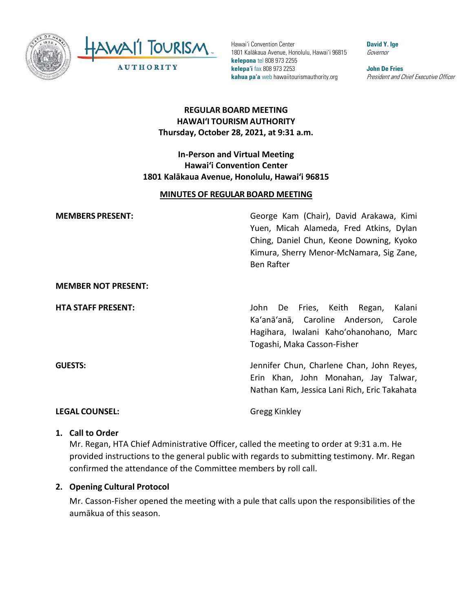

Hawai'i Convention Center 1801 Kalākaua Avenue, Honolulu, Hawai'i 96815 **kelepona** tel 808 973 2255 **kelepa'i** fax 808 973 2253 **kahua pa'a** web hawaiitourismauthority.org

**David Y. Ige** Governor

**John De Fries** President and Chief Executive Officer

# **REGULAR BOARD MEETING HAWAI'I TOURISM AUTHORITY Thursday, October 28, 2021, at 9:31 a.m.**

### **In-Person and Virtual Meeting Hawai'i Convention Center 1801 Kalākaua Avenue, Honolulu, Hawai'i 96815**

#### **MINUTES OF REGULAR BOARD MEETING**

| <b>MEMBERS PRESENT:</b>    | George Kam (Chair), David Arakawa, Kimi<br>Yuen, Micah Alameda, Fred Atkins, Dylan<br>Ching, Daniel Chun, Keone Downing, Kyoko<br>Kimura, Sherry Menor-McNamara, Sig Zane,<br><b>Ben Rafter</b> |
|----------------------------|-------------------------------------------------------------------------------------------------------------------------------------------------------------------------------------------------|
| <b>MEMBER NOT PRESENT:</b> |                                                                                                                                                                                                 |
| <b>HTA STAFF PRESENT:</b>  | John De Fries, Keith Regan,<br>Kalani<br>Ka'anā'anā, Caroline Anderson,<br>Carole<br>Hagihara, Iwalani Kaho'ohanohano, Marc<br>Togashi, Maka Casson-Fisher                                      |
| <b>GUESTS:</b>             | Jennifer Chun, Charlene Chan, John Reyes,                                                                                                                                                       |

#### **LEGAL COUNSEL:** Gregg Kinkley

Erin Khan, John Monahan, Jay Talwar, Nathan Kam, Jessica Lani Rich, Eric Takahata

#### **1. Call to Order**

Mr. Regan, HTA Chief Administrative Officer, called the meeting to order at 9:31 a.m. He provided instructions to the general public with regards to submitting testimony. Mr. Regan confirmed the attendance of the Committee members by roll call.

#### **2. Opening Cultural Protocol**

Mr. Casson-Fisher opened the meeting with a pule that calls upon the responsibilities of the aumākua of this season.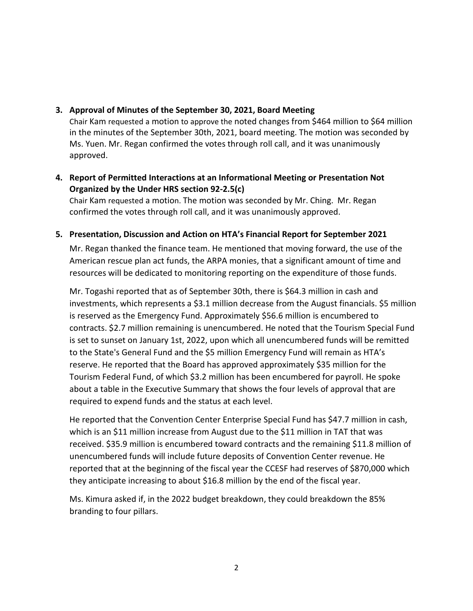#### **3. Approval of Minutes of the September 30, 2021, Board Meeting**

Chair Kam requested a motion to approve the noted changes from \$464 million to \$64 million in the minutes of the September 30th, 2021, board meeting. The motion was seconded by Ms. Yuen. Mr. Regan confirmed the votes through roll call, and it was unanimously approved.

## **4. Report of Permitted Interactions at an Informational Meeting or Presentation Not Organized by the Under HRS section 92-2.5(c)**

Chair Kam requested a motion. The motion was seconded by Mr. Ching. Mr. Regan confirmed the votes through roll call, and it was unanimously approved.

#### **5. Presentation, Discussion and Action on HTA's Financial Report for September 2021**

Mr. Regan thanked the finance team. He mentioned that moving forward, the use of the American rescue plan act funds, the ARPA monies, that a significant amount of time and resources will be dedicated to monitoring reporting on the expenditure of those funds.

Mr. Togashi reported that as of September 30th, there is \$64.3 million in cash and investments, which represents a \$3.1 million decrease from the August financials. \$5 million is reserved as the Emergency Fund. Approximately \$56.6 million is encumbered to contracts. \$2.7 million remaining is unencumbered. He noted that the Tourism Special Fund is set to sunset on January 1st, 2022, upon which all unencumbered funds will be remitted to the State's General Fund and the \$5 million Emergency Fund will remain as HTA's reserve. He reported that the Board has approved approximately \$35 million for the Tourism Federal Fund, of which \$3.2 million has been encumbered for payroll. He spoke about a table in the Executive Summary that shows the four levels of approval that are required to expend funds and the status at each level.

He reported that the Convention Center Enterprise Special Fund has \$47.7 million in cash, which is an \$11 million increase from August due to the \$11 million in TAT that was received. \$35.9 million is encumbered toward contracts and the remaining \$11.8 million of unencumbered funds will include future deposits of Convention Center revenue. He reported that at the beginning of the fiscal year the CCESF had reserves of \$870,000 which they anticipate increasing to about \$16.8 million by the end of the fiscal year.

Ms. Kimura asked if, in the 2022 budget breakdown, they could breakdown the 85% branding to four pillars.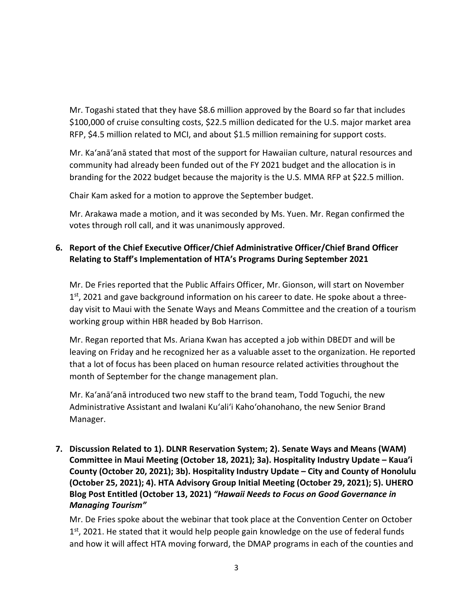Mr. Togashi stated that they have \$8.6 million approved by the Board so far that includes \$100,000 of cruise consulting costs, \$22.5 million dedicated for the U.S. major market area RFP, \$4.5 million related to MCI, and about \$1.5 million remaining for support costs.

Mr. Ka'anā'anā stated that most of the support for Hawaiian culture, natural resources and community had already been funded out of the FY 2021 budget and the allocation is in branding for the 2022 budget because the majority is the U.S. MMA RFP at \$22.5 million.

Chair Kam asked for a motion to approve the September budget.

Mr. Arakawa made a motion, and it was seconded by Ms. Yuen. Mr. Regan confirmed the votes through roll call, and it was unanimously approved.

## **6. Report of the Chief Executive Officer/Chief Administrative Officer/Chief Brand Officer Relating to Staff's Implementation of HTA's Programs During September 2021**

Mr. De Fries reported that the Public Affairs Officer, Mr. Gionson, will start on November  $1<sup>st</sup>$ , 2021 and gave background information on his career to date. He spoke about a threeday visit to Maui with the Senate Ways and Means Committee and the creation of a tourism working group within HBR headed by Bob Harrison.

Mr. Regan reported that Ms. Ariana Kwan has accepted a job within DBEDT and will be leaving on Friday and he recognized her as a valuable asset to the organization. He reported that a lot of focus has been placed on human resource related activities throughout the month of September for the change management plan.

Mr. Ka'anā'anā introduced two new staff to the brand team, Todd Toguchi, the new Administrative Assistant and Iwalani Ku'ali'i Kaho'ohanohano, the new Senior Brand Manager.

**7. Discussion Related to 1). DLNR Reservation System; 2). Senate Ways and Means (WAM) Committee in Maui Meeting (October 18, 2021); 3a). Hospitality Industry Update – Kaua'i County (October 20, 2021); 3b). Hospitality Industry Update – City and County of Honolulu (October 25, 2021); 4). HTA Advisory Group Initial Meeting (October 29, 2021); 5). UHERO Blog Post Entitled (October 13, 2021)** *"Hawaii Needs to Focus on Good Governance in Managing Tourism"*

Mr. De Fries spoke about the webinar that took place at the Convention Center on October  $1<sup>st</sup>$ , 2021. He stated that it would help people gain knowledge on the use of federal funds and how it will affect HTA moving forward, the DMAP programs in each of the counties and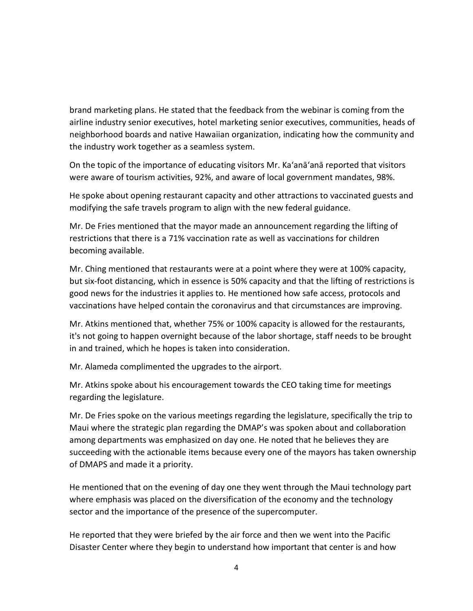brand marketing plans. He stated that the feedback from the webinar is coming from the airline industry senior executives, hotel marketing senior executives, communities, heads of neighborhood boards and native Hawaiian organization, indicating how the community and the industry work together as a seamless system.

On the topic of the importance of educating visitors Mr. Ka'anā'anā reported that visitors were aware of tourism activities, 92%, and aware of local government mandates, 98%.

He spoke about opening restaurant capacity and other attractions to vaccinated guests and modifying the safe travels program to align with the new federal guidance.

Mr. De Fries mentioned that the mayor made an announcement regarding the lifting of restrictions that there is a 71% vaccination rate as well as vaccinations for children becoming available.

Mr. Ching mentioned that restaurants were at a point where they were at 100% capacity, but six-foot distancing, which in essence is 50% capacity and that the lifting of restrictions is good news for the industries it applies to. He mentioned how safe access, protocols and vaccinations have helped contain the coronavirus and that circumstances are improving.

Mr. Atkins mentioned that, whether 75% or 100% capacity is allowed for the restaurants, it's not going to happen overnight because of the labor shortage, staff needs to be brought in and trained, which he hopes is taken into consideration.

Mr. Alameda complimented the upgrades to the airport.

Mr. Atkins spoke about his encouragement towards the CEO taking time for meetings regarding the legislature.

Mr. De Fries spoke on the various meetings regarding the legislature, specifically the trip to Maui where the strategic plan regarding the DMAP's was spoken about and collaboration among departments was emphasized on day one. He noted that he believes they are succeeding with the actionable items because every one of the mayors has taken ownership of DMAPS and made it a priority.

He mentioned that on the evening of day one they went through the Maui technology part where emphasis was placed on the diversification of the economy and the technology sector and the importance of the presence of the supercomputer.

He reported that they were briefed by the air force and then we went into the Pacific Disaster Center where they begin to understand how important that center is and how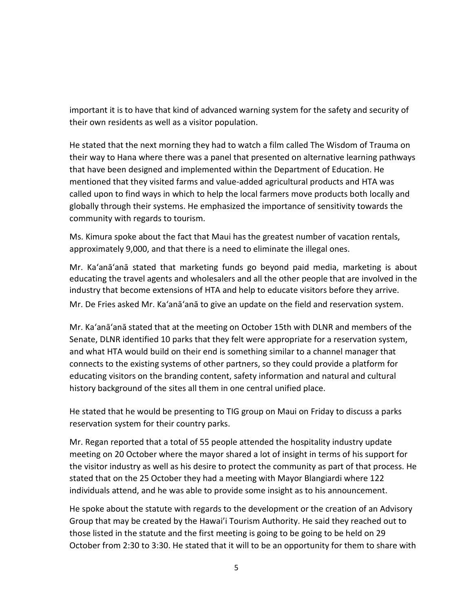important it is to have that kind of advanced warning system for the safety and security of their own residents as well as a visitor population.

He stated that the next morning they had to watch a film called The Wisdom of Trauma on their way to Hana where there was a panel that presented on alternative learning pathways that have been designed and implemented within the Department of Education. He mentioned that they visited farms and value-added agricultural products and HTA was called upon to find ways in which to help the local farmers move products both locally and globally through their systems. He emphasized the importance of sensitivity towards the community with regards to tourism.

Ms. Kimura spoke about the fact that Maui has the greatest number of vacation rentals, approximately 9,000, and that there is a need to eliminate the illegal ones.

Mr. Ka'anā'anā stated that marketing funds go beyond paid media, marketing is about educating the travel agents and wholesalers and all the other people that are involved in the industry that become extensions of HTA and help to educate visitors before they arrive.

Mr. De Fries asked Mr. Ka'anā'anā to give an update on the field and reservation system.

Mr. Ka'anā'anā stated that at the meeting on October 15th with DLNR and members of the Senate, DLNR identified 10 parks that they felt were appropriate for a reservation system, and what HTA would build on their end is something similar to a channel manager that connects to the existing systems of other partners, so they could provide a platform for educating visitors on the branding content, safety information and natural and cultural history background of the sites all them in one central unified place.

He stated that he would be presenting to TIG group on Maui on Friday to discuss a parks reservation system for their country parks.

Mr. Regan reported that a total of 55 people attended the hospitality industry update meeting on 20 October where the mayor shared a lot of insight in terms of his support for the visitor industry as well as his desire to protect the community as part of that process. He stated that on the 25 October they had a meeting with Mayor Blangiardi where 122 individuals attend, and he was able to provide some insight as to his announcement.

He spoke about the statute with regards to the development or the creation of an Advisory Group that may be created by the Hawai'i Tourism Authority. He said they reached out to those listed in the statute and the first meeting is going to be going to be held on 29 October from 2:30 to 3:30. He stated that it will to be an opportunity for them to share with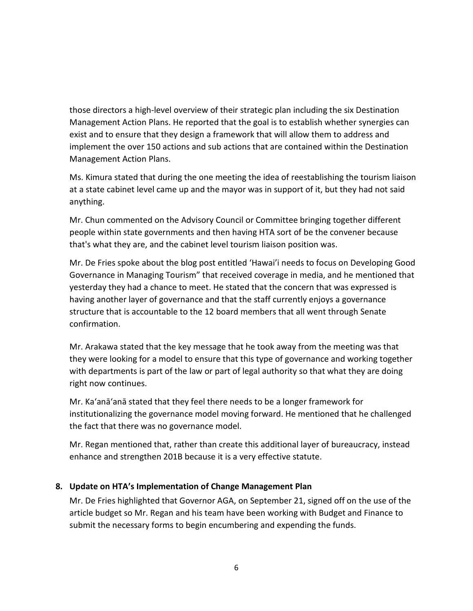those directors a high-level overview of their strategic plan including the six Destination Management Action Plans. He reported that the goal is to establish whether synergies can exist and to ensure that they design a framework that will allow them to address and implement the over 150 actions and sub actions that are contained within the Destination Management Action Plans.

Ms. Kimura stated that during the one meeting the idea of reestablishing the tourism liaison at a state cabinet level came up and the mayor was in support of it, but they had not said anything.

Mr. Chun commented on the Advisory Council or Committee bringing together different people within state governments and then having HTA sort of be the convener because that's what they are, and the cabinet level tourism liaison position was.

Mr. De Fries spoke about the blog post entitled 'Hawai'i needs to focus on Developing Good Governance in Managing Tourism" that received coverage in media, and he mentioned that yesterday they had a chance to meet. He stated that the concern that was expressed is having another layer of governance and that the staff currently enjoys a governance structure that is accountable to the 12 board members that all went through Senate confirmation.

Mr. Arakawa stated that the key message that he took away from the meeting was that they were looking for a model to ensure that this type of governance and working together with departments is part of the law or part of legal authority so that what they are doing right now continues.

Mr. Ka'anā'anā stated that they feel there needs to be a longer framework for institutionalizing the governance model moving forward. He mentioned that he challenged the fact that there was no governance model.

Mr. Regan mentioned that, rather than create this additional layer of bureaucracy, instead enhance and strengthen 201B because it is a very effective statute.

### **8. Update on HTA's Implementation of Change Management Plan**

Mr. De Fries highlighted that Governor AGA, on September 21, signed off on the use of the article budget so Mr. Regan and his team have been working with Budget and Finance to submit the necessary forms to begin encumbering and expending the funds.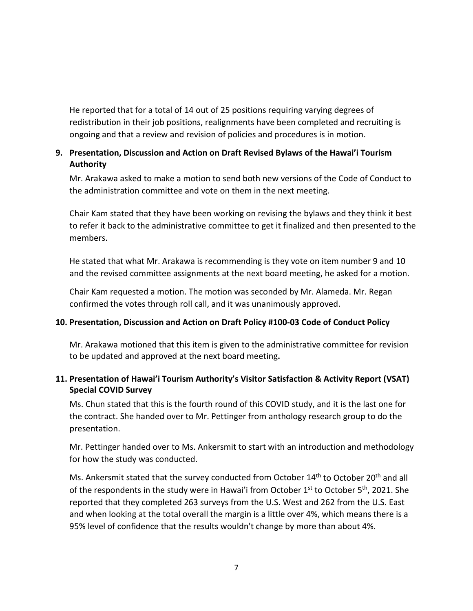He reported that for a total of 14 out of 25 positions requiring varying degrees of redistribution in their job positions, realignments have been completed and recruiting is ongoing and that a review and revision of policies and procedures is in motion.

## **9. Presentation, Discussion and Action on Draft Revised Bylaws of the Hawai'i Tourism Authority**

Mr. Arakawa asked to make a motion to send both new versions of the Code of Conduct to the administration committee and vote on them in the next meeting.

Chair Kam stated that they have been working on revising the bylaws and they think it best to refer it back to the administrative committee to get it finalized and then presented to the members.

He stated that what Mr. Arakawa is recommending is they vote on item number 9 and 10 and the revised committee assignments at the next board meeting, he asked for a motion.

Chair Kam requested a motion. The motion was seconded by Mr. Alameda. Mr. Regan confirmed the votes through roll call, and it was unanimously approved.

### **10. Presentation, Discussion and Action on Draft Policy #100-03 Code of Conduct Policy**

Mr. Arakawa motioned that this item is given to the administrative committee for revision to be updated and approved at the next board meeting**.** 

## **11. Presentation of Hawai'i Tourism Authority's Visitor Satisfaction & Activity Report (VSAT) Special COVID Survey**

Ms. Chun stated that this is the fourth round of this COVID study, and it is the last one for the contract. She handed over to Mr. Pettinger from anthology research group to do the presentation.

Mr. Pettinger handed over to Ms. Ankersmit to start with an introduction and methodology for how the study was conducted.

Ms. Ankersmit stated that the survey conducted from October 14<sup>th</sup> to October 20<sup>th</sup> and all of the respondents in the study were in Hawai'i from October  $1<sup>st</sup>$  to October  $5<sup>th</sup>$ , 2021. She reported that they completed 263 surveys from the U.S. West and 262 from the U.S. East and when looking at the total overall the margin is a little over 4%, which means there is a 95% level of confidence that the results wouldn't change by more than about 4%.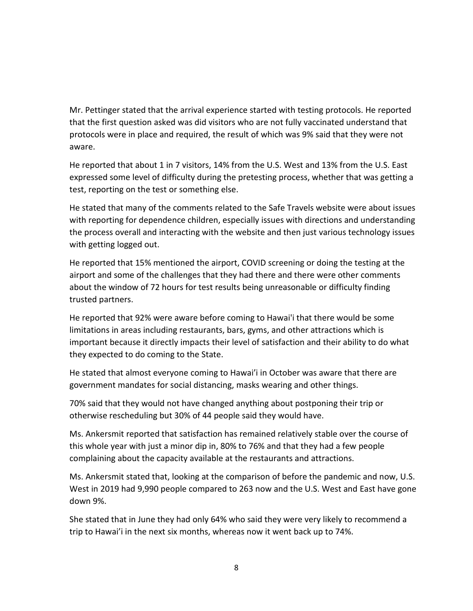Mr. Pettinger stated that the arrival experience started with testing protocols. He reported that the first question asked was did visitors who are not fully vaccinated understand that protocols were in place and required, the result of which was 9% said that they were not aware.

He reported that about 1 in 7 visitors, 14% from the U.S. West and 13% from the U.S. East expressed some level of difficulty during the pretesting process, whether that was getting a test, reporting on the test or something else.

He stated that many of the comments related to the Safe Travels website were about issues with reporting for dependence children, especially issues with directions and understanding the process overall and interacting with the website and then just various technology issues with getting logged out.

He reported that 15% mentioned the airport, COVID screening or doing the testing at the airport and some of the challenges that they had there and there were other comments about the window of 72 hours for test results being unreasonable or difficulty finding trusted partners.

He reported that 92% were aware before coming to Hawai'i that there would be some limitations in areas including restaurants, bars, gyms, and other attractions which is important because it directly impacts their level of satisfaction and their ability to do what they expected to do coming to the State.

He stated that almost everyone coming to Hawai'i in October was aware that there are government mandates for social distancing, masks wearing and other things.

70% said that they would not have changed anything about postponing their trip or otherwise rescheduling but 30% of 44 people said they would have.

Ms. Ankersmit reported that satisfaction has remained relatively stable over the course of this whole year with just a minor dip in, 80% to 76% and that they had a few people complaining about the capacity available at the restaurants and attractions.

Ms. Ankersmit stated that, looking at the comparison of before the pandemic and now, U.S. West in 2019 had 9,990 people compared to 263 now and the U.S. West and East have gone down 9%.

She stated that in June they had only 64% who said they were very likely to recommend a trip to Hawai'i in the next six months, whereas now it went back up to 74%.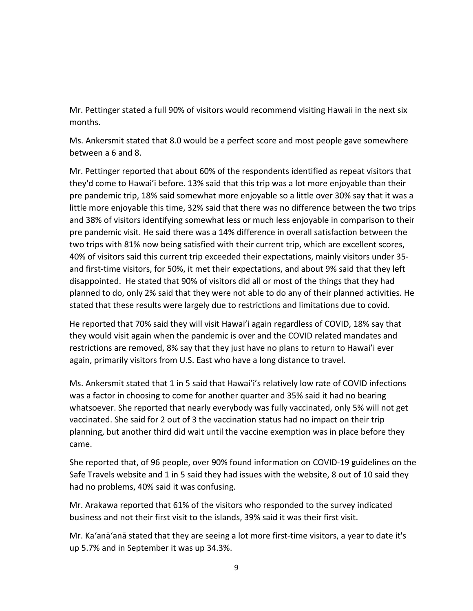Mr. Pettinger stated a full 90% of visitors would recommend visiting Hawaii in the next six months.

Ms. Ankersmit stated that 8.0 would be a perfect score and most people gave somewhere between a 6 and 8.

Mr. Pettinger reported that about 60% of the respondents identified as repeat visitors that they'd come to Hawai'i before. 13% said that this trip was a lot more enjoyable than their pre pandemic trip, 18% said somewhat more enjoyable so a little over 30% say that it was a little more enjoyable this time, 32% said that there was no difference between the two trips and 38% of visitors identifying somewhat less or much less enjoyable in comparison to their pre pandemic visit. He said there was a 14% difference in overall satisfaction between the two trips with 81% now being satisfied with their current trip, which are excellent scores, 40% of visitors said this current trip exceeded their expectations, mainly visitors under 35 and first-time visitors, for 50%, it met their expectations, and about 9% said that they left disappointed. He stated that 90% of visitors did all or most of the things that they had planned to do, only 2% said that they were not able to do any of their planned activities. He stated that these results were largely due to restrictions and limitations due to covid.

He reported that 70% said they will visit Hawai'i again regardless of COVID, 18% say that they would visit again when the pandemic is over and the COVID related mandates and restrictions are removed, 8% say that they just have no plans to return to Hawai'i ever again, primarily visitors from U.S. East who have a long distance to travel.

Ms. Ankersmit stated that 1 in 5 said that Hawai'i's relatively low rate of COVID infections was a factor in choosing to come for another quarter and 35% said it had no bearing whatsoever. She reported that nearly everybody was fully vaccinated, only 5% will not get vaccinated. She said for 2 out of 3 the vaccination status had no impact on their trip planning, but another third did wait until the vaccine exemption was in place before they came.

She reported that, of 96 people, over 90% found information on COVID-19 guidelines on the Safe Travels website and 1 in 5 said they had issues with the website, 8 out of 10 said they had no problems, 40% said it was confusing.

Mr. Arakawa reported that 61% of the visitors who responded to the survey indicated business and not their first visit to the islands, 39% said it was their first visit.

Mr. Ka'anā'anā stated that they are seeing a lot more first-time visitors, a year to date it's up 5.7% and in September it was up 34.3%.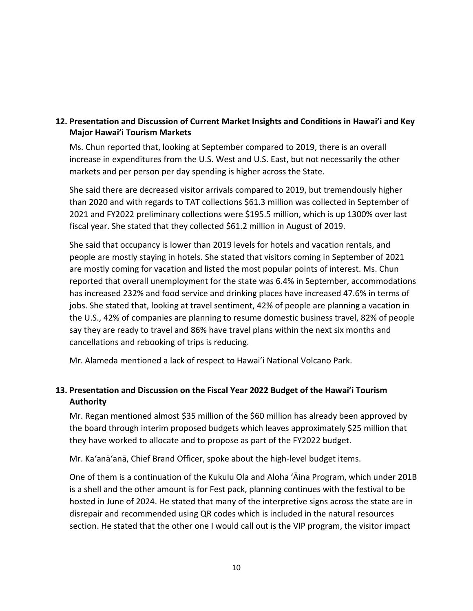### **12. Presentation and Discussion of Current Market Insights and Conditions in Hawai'i and Key Major Hawai'i Tourism Markets**

Ms. Chun reported that, looking at September compared to 2019, there is an overall increase in expenditures from the U.S. West and U.S. East, but not necessarily the other markets and per person per day spending is higher across the State.

She said there are decreased visitor arrivals compared to 2019, but tremendously higher than 2020 and with regards to TAT collections \$61.3 million was collected in September of 2021 and FY2022 preliminary collections were \$195.5 million, which is up 1300% over last fiscal year. She stated that they collected \$61.2 million in August of 2019.

She said that occupancy is lower than 2019 levels for hotels and vacation rentals, and people are mostly staying in hotels. She stated that visitors coming in September of 2021 are mostly coming for vacation and listed the most popular points of interest. Ms. Chun reported that overall unemployment for the state was 6.4% in September, accommodations has increased 232% and food service and drinking places have increased 47.6% in terms of jobs. She stated that, looking at travel sentiment, 42% of people are planning a vacation in the U.S., 42% of companies are planning to resume domestic business travel, 82% of people say they are ready to travel and 86% have travel plans within the next six months and cancellations and rebooking of trips is reducing.

Mr. Alameda mentioned a lack of respect to Hawai'i National Volcano Park.

## **13. Presentation and Discussion on the Fiscal Year 2022 Budget of the Hawai'i Tourism Authority**

Mr. Regan mentioned almost \$35 million of the \$60 million has already been approved by the board through interim proposed budgets which leaves approximately \$25 million that they have worked to allocate and to propose as part of the FY2022 budget.

Mr. Ka'anā'anā, Chief Brand Officer, spoke about the high-level budget items.

One of them is a continuation of the Kukulu Ola and Aloha ʻĀina Program, which under 201B is a shell and the other amount is for Fest pack, planning continues with the festival to be hosted in June of 2024. He stated that many of the interpretive signs across the state are in disrepair and recommended using QR codes which is included in the natural resources section. He stated that the other one I would call out is the VIP program, the visitor impact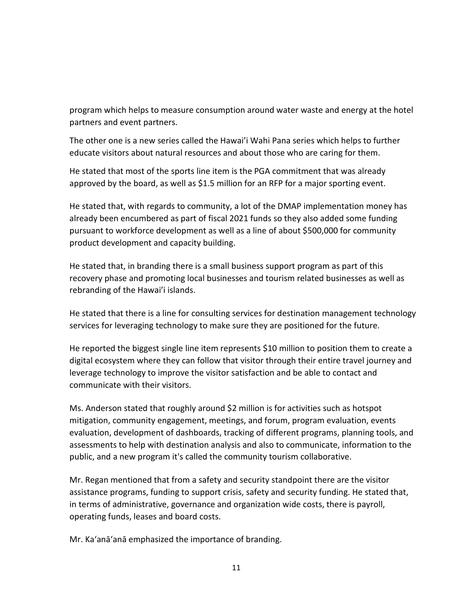program which helps to measure consumption around water waste and energy at the hotel partners and event partners.

The other one is a new series called the Hawai'i Wahi Pana series which helps to further educate visitors about natural resources and about those who are caring for them.

He stated that most of the sports line item is the PGA commitment that was already approved by the board, as well as \$1.5 million for an RFP for a major sporting event.

He stated that, with regards to community, a lot of the DMAP implementation money has already been encumbered as part of fiscal 2021 funds so they also added some funding pursuant to workforce development as well as a line of about \$500,000 for community product development and capacity building.

He stated that, in branding there is a small business support program as part of this recovery phase and promoting local businesses and tourism related businesses as well as rebranding of the Hawai'i islands.

He stated that there is a line for consulting services for destination management technology services for leveraging technology to make sure they are positioned for the future.

He reported the biggest single line item represents \$10 million to position them to create a digital ecosystem where they can follow that visitor through their entire travel journey and leverage technology to improve the visitor satisfaction and be able to contact and communicate with their visitors.

Ms. Anderson stated that roughly around \$2 million is for activities such as hotspot mitigation, community engagement, meetings, and forum, program evaluation, events evaluation, development of dashboards, tracking of different programs, planning tools, and assessments to help with destination analysis and also to communicate, information to the public, and a new program it's called the community tourism collaborative.

Mr. Regan mentioned that from a safety and security standpoint there are the visitor assistance programs, funding to support crisis, safety and security funding. He stated that, in terms of administrative, governance and organization wide costs, there is payroll, operating funds, leases and board costs.

Mr. Ka'anā'anā emphasized the importance of branding.